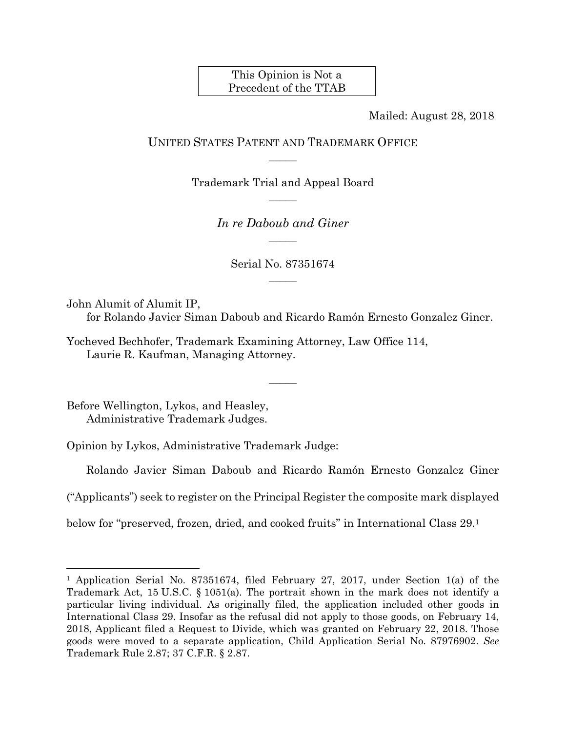This Opinion is Not a Precedent of the TTAB

Mailed: August 28, 2018

## UNITED STATES PATENT AND TRADEMARK OFFICE  $\overline{\phantom{a}}$

Trademark Trial and Appeal Board  $\overline{\phantom{a}}$ 

> *In re Daboub and Giner*   $\overline{\phantom{a}}$

> > Serial No. 87351674  $\overline{\phantom{a}}$

John Alumit of Alumit IP,

for Rolando Javier Siman Daboub and Ricardo Ramón Ernesto Gonzalez Giner.

 $\overline{\phantom{a}}$ 

Yocheved Bechhofer, Trademark Examining Attorney, Law Office 114, Laurie R. Kaufman, Managing Attorney.

Before Wellington, Lykos, and Heasley, Administrative Trademark Judges.

 $\overline{a}$ 

Opinion by Lykos, Administrative Trademark Judge:

Rolando Javier Siman Daboub and Ricardo Ramón Ernesto Gonzalez Giner

("Applicants") seek to register on the Principal Register the composite mark displayed

below for "preserved, frozen, dried, and cooked fruits" in International Class 29.1

<sup>1</sup> Application Serial No. 87351674, filed February 27, 2017, under Section 1(a) of the Trademark Act, 15 U.S.C. § 1051(a). The portrait shown in the mark does not identify a particular living individual. As originally filed, the application included other goods in International Class 29. Insofar as the refusal did not apply to those goods, on February 14, 2018, Applicant filed a Request to Divide, which was granted on February 22, 2018. Those goods were moved to a separate application, Child Application Serial No. 87976902. *See* Trademark Rule 2.87; 37 C.F.R. § 2.87.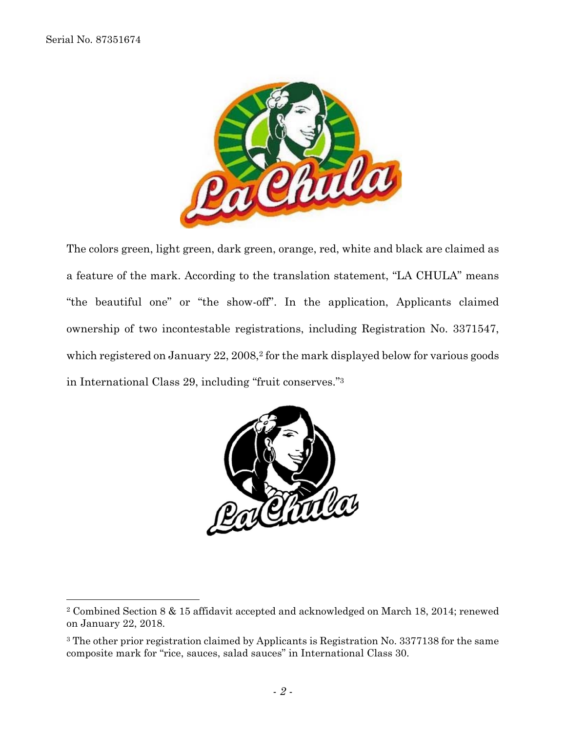1



The colors green, light green, dark green, orange, red, white and black are claimed as a feature of the mark. According to the translation statement, "LA CHULA" means "the beautiful one" or "the show-off". In the application, Applicants claimed ownership of two incontestable registrations, including Registration No. 3371547, which registered on January 22, 2008,<sup>2</sup> for the mark displayed below for various goods in International Class 29, including "fruit conserves."3



<sup>2</sup> Combined Section 8 & 15 affidavit accepted and acknowledged on March 18, 2014; renewed on January 22, 2018.

<sup>3</sup> The other prior registration claimed by Applicants is Registration No. 3377138 for the same composite mark for "rice, sauces, salad sauces" in International Class 30.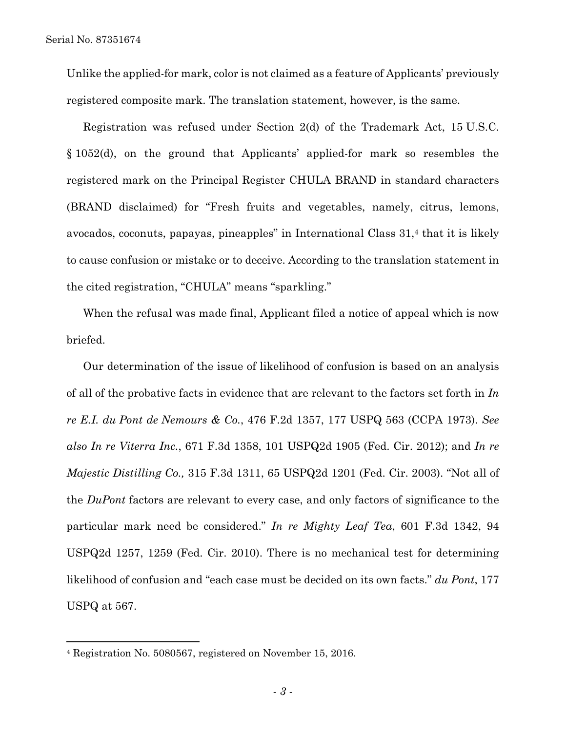1

Unlike the applied-for mark, color is not claimed as a feature of Applicants' previously registered composite mark. The translation statement, however, is the same.

Registration was refused under Section 2(d) of the Trademark Act, 15 U.S.C. § 1052(d), on the ground that Applicants' applied-for mark so resembles the registered mark on the Principal Register CHULA BRAND in standard characters (BRAND disclaimed) for "Fresh fruits and vegetables, namely, citrus, lemons, avocados, coconuts, papayas, pineapples" in International Class 31,4 that it is likely to cause confusion or mistake or to deceive. According to the translation statement in the cited registration, "CHULA" means "sparkling."

When the refusal was made final, Applicant filed a notice of appeal which is now briefed.

Our determination of the issue of likelihood of confusion is based on an analysis of all of the probative facts in evidence that are relevant to the factors set forth in *In re E.I. du Pont de Nemours & Co.*, 476 F.2d 1357, 177 USPQ 563 (CCPA 1973). *See also In re Viterra Inc.*, 671 F.3d 1358, 101 USPQ2d 1905 (Fed. Cir. 2012); and *In re Majestic Distilling Co.,* 315 F.3d 1311, 65 USPQ2d 1201 (Fed. Cir. 2003). "Not all of the *DuPont* factors are relevant to every case, and only factors of significance to the particular mark need be considered." *In re Mighty Leaf Tea*, 601 F.3d 1342, 94 USPQ2d 1257, 1259 (Fed. Cir. 2010). There is no mechanical test for determining likelihood of confusion and "each case must be decided on its own facts." *du Pont*, 177 USPQ at 567.

<sup>4</sup> Registration No. 5080567, registered on November 15, 2016.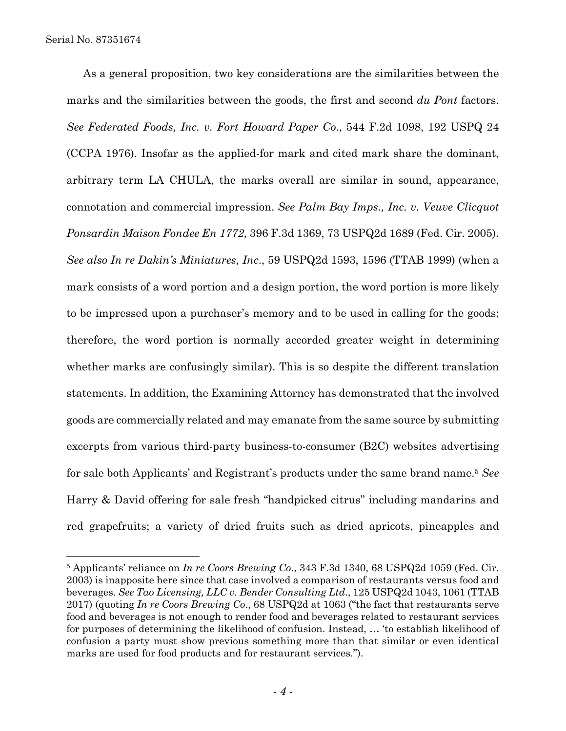$\overline{a}$ 

As a general proposition, two key considerations are the similarities between the marks and the similarities between the goods, the first and second *du Pont* factors. *See Federated Foods, Inc. v. Fort Howard Paper Co*., 544 F.2d 1098, 192 USPQ 24 (CCPA 1976). Insofar as the applied-for mark and cited mark share the dominant, arbitrary term LA CHULA, the marks overall are similar in sound, appearance, connotation and commercial impression. *See Palm Bay Imps., Inc. v. Veuve Clicquot Ponsardin Maison Fondee En 1772*, 396 F.3d 1369, 73 USPQ2d 1689 (Fed. Cir. 2005). *See also In re Dakin's Miniatures, Inc*., 59 USPQ2d 1593, 1596 (TTAB 1999) (when a mark consists of a word portion and a design portion, the word portion is more likely to be impressed upon a purchaser's memory and to be used in calling for the goods; therefore, the word portion is normally accorded greater weight in determining whether marks are confusingly similar). This is so despite the different translation statements. In addition, the Examining Attorney has demonstrated that the involved goods are commercially related and may emanate from the same source by submitting excerpts from various third-party business-to-consumer (B2C) websites advertising for sale both Applicants' and Registrant's products under the same brand name.5 *See* Harry & David offering for sale fresh "handpicked citrus" including mandarins and red grapefruits; a variety of dried fruits such as dried apricots, pineapples and

<sup>5</sup> Applicants' reliance on *In re Coors Brewing Co*., 343 F.3d 1340, 68 USPQ2d 1059 (Fed. Cir. 2003) is inapposite here since that case involved a comparison of restaurants versus food and beverages. *See Tao Licensing, LLC v. Bender Consulting Ltd*., 125 USPQ2d 1043, 1061 (TTAB 2017) (quoting *In re Coors Brewing Co*., 68 USPQ2d at 1063 ("the fact that restaurants serve food and beverages is not enough to render food and beverages related to restaurant services for purposes of determining the likelihood of confusion. Instead, … 'to establish likelihood of confusion a party must show previous something more than that similar or even identical marks are used for food products and for restaurant services.").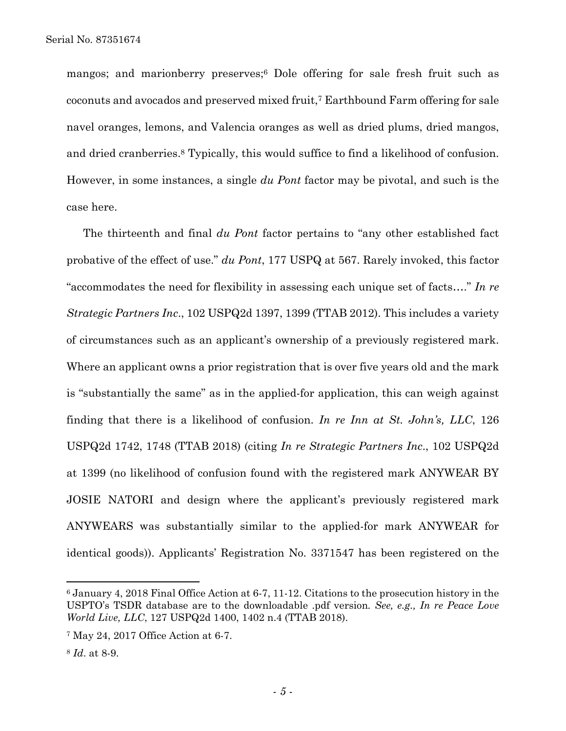mangos; and marionberry preserves;6 Dole offering for sale fresh fruit such as coconuts and avocados and preserved mixed fruit,7 Earthbound Farm offering for sale navel oranges, lemons, and Valencia oranges as well as dried plums, dried mangos, and dried cranberries.8 Typically, this would suffice to find a likelihood of confusion. However, in some instances, a single *du Pont* factor may be pivotal, and such is the case here.

The thirteenth and final *du Pont* factor pertains to "any other established fact probative of the effect of use." *du Pont*, 177 USPQ at 567. Rarely invoked, this factor "accommodates the need for flexibility in assessing each unique set of facts…." *In re Strategic Partners Inc*., 102 USPQ2d 1397, 1399 (TTAB 2012). This includes a variety of circumstances such as an applicant's ownership of a previously registered mark. Where an applicant owns a prior registration that is over five years old and the mark is "substantially the same" as in the applied-for application, this can weigh against finding that there is a likelihood of confusion. *In re Inn at St. John's, LLC*, 126 USPQ2d 1742, 1748 (TTAB 2018) (citing *In re Strategic Partners Inc*., 102 USPQ2d at 1399 (no likelihood of confusion found with the registered mark ANYWEAR BY JOSIE NATORI and design where the applicant's previously registered mark ANYWEARS was substantially similar to the applied-for mark ANYWEAR for identical goods)). Applicants' Registration No. 3371547 has been registered on the

1

<sup>6</sup> January 4, 2018 Final Office Action at 6-7, 11-12. Citations to the prosecution history in the USPTO's TSDR database are to the downloadable .pdf version*. See, e.g., In re Peace Love World Live, LLC*, 127 USPQ2d 1400, 1402 n.4 (TTAB 2018).

<sup>7</sup> May 24, 2017 Office Action at 6-7.

<sup>8</sup> *Id*. at 8-9.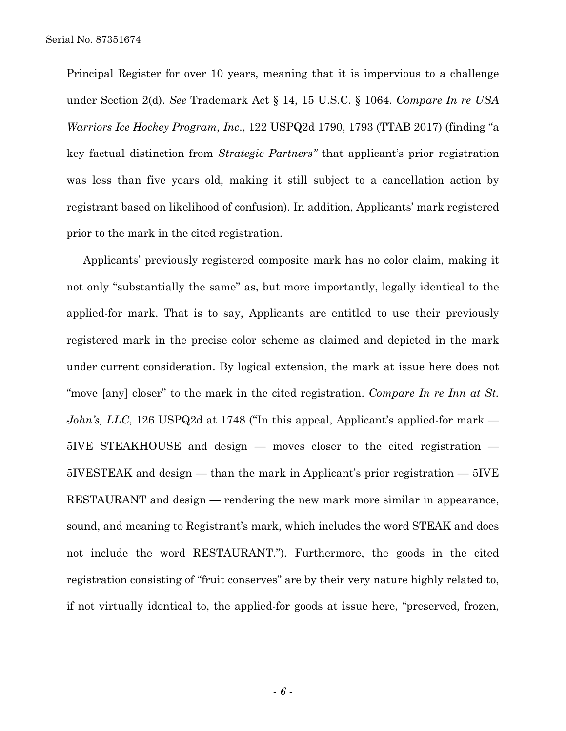Principal Register for over 10 years, meaning that it is impervious to a challenge under Section 2(d). *See* Trademark Act § 14, 15 U.S.C. § 1064. *Compare In re USA Warriors Ice Hockey Program, Inc*., 122 USPQ2d 1790, 1793 (TTAB 2017) (finding "a key factual distinction from *Strategic Partners"* that applicant's prior registration was less than five years old, making it still subject to a cancellation action by registrant based on likelihood of confusion). In addition, Applicants' mark registered prior to the mark in the cited registration.

Applicants' previously registered composite mark has no color claim, making it not only "substantially the same" as, but more importantly, legally identical to the applied-for mark. That is to say, Applicants are entitled to use their previously registered mark in the precise color scheme as claimed and depicted in the mark under current consideration. By logical extension, the mark at issue here does not "move [any] closer" to the mark in the cited registration. *Compare In re Inn at St. John's, LLC*, 126 USPQ2d at 1748 ("In this appeal, Applicant's applied-for mark — 5IVE STEAKHOUSE and design — moves closer to the cited registration — 5IVESTEAK and design — than the mark in Applicant's prior registration — 5IVE RESTAURANT and design — rendering the new mark more similar in appearance, sound, and meaning to Registrant's mark, which includes the word STEAK and does not include the word RESTAURANT."). Furthermore, the goods in the cited registration consisting of "fruit conserves" are by their very nature highly related to, if not virtually identical to, the applied-for goods at issue here, "preserved, frozen,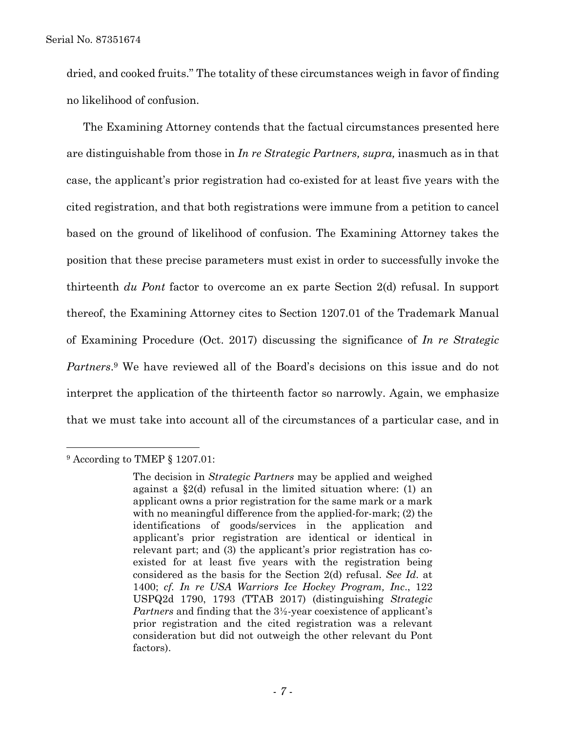dried, and cooked fruits." The totality of these circumstances weigh in favor of finding no likelihood of confusion.

The Examining Attorney contends that the factual circumstances presented here are distinguishable from those in *In re Strategic Partners, supra,* inasmuch as in that case, the applicant's prior registration had co-existed for at least five years with the cited registration, and that both registrations were immune from a petition to cancel based on the ground of likelihood of confusion. The Examining Attorney takes the position that these precise parameters must exist in order to successfully invoke the thirteenth *du Pont* factor to overcome an ex parte Section 2(d) refusal. In support thereof, the Examining Attorney cites to Section 1207.01 of the Trademark Manual of Examining Procedure (Oct. 2017) discussing the significance of *In re Strategic Partners*.9 We have reviewed all of the Board's decisions on this issue and do not interpret the application of the thirteenth factor so narrowly. Again, we emphasize that we must take into account all of the circumstances of a particular case, and in

 $\overline{a}$ 

<sup>9</sup> According to TMEP § 1207.01:

The decision in *Strategic Partners* may be applied and weighed against a §2(d) refusal in the limited situation where: (1) an applicant owns a prior registration for the same mark or a mark with no meaningful difference from the applied-for-mark; (2) the identifications of goods/services in the application and applicant's prior registration are identical or identical in relevant part; and (3) the applicant's prior registration has coexisted for at least five years with the registration being considered as the basis for the Section 2(d) refusal. *See Id*. at 1400; *cf. In re USA Warriors Ice Hockey Program, Inc*., 122 USPQ2d 1790, 1793 (TTAB 2017) (distinguishing *Strategic Partners* and finding that the 3½-year coexistence of applicant's prior registration and the cited registration was a relevant consideration but did not outweigh the other relevant du Pont factors).